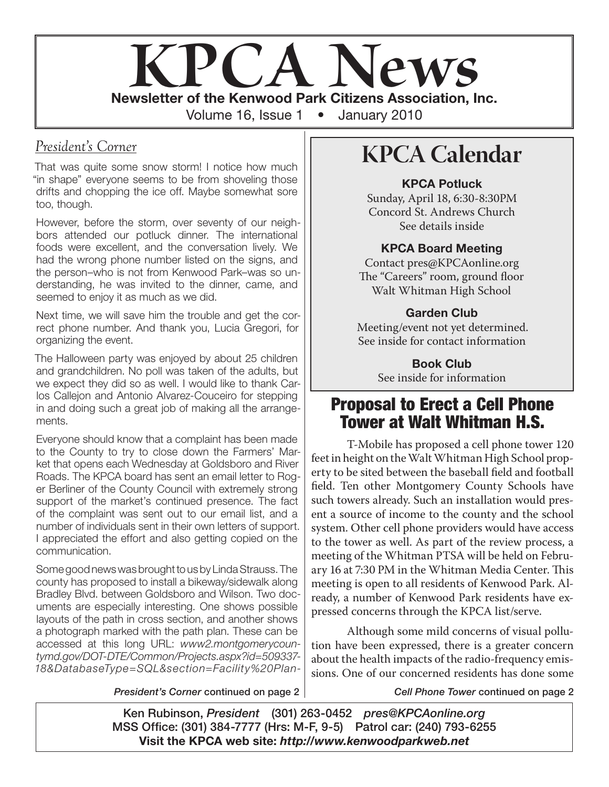# **KPCA News** Newsletter of the Kenwood Park Citizens Association, Inc.

Volume 16, Issue 1 • January 2010

#### *President's Corner*

That was quite some snow storm! I notice how much "in shape" everyone seems to be from shoveling those drifts and chopping the ice off. Maybe somewhat sore too, though.

However, before the storm, over seventy of our neighbors attended our potluck dinner. The international foods were excellent, and the conversation lively. We had the wrong phone number listed on the signs, and the person–who is not from Kenwood Park–was so understanding, he was invited to the dinner, came, and seemed to enjoy it as much as we did.

Next time, we will save him the trouble and get the correct phone number. And thank you, Lucia Gregori, for organizing the event.

The Halloween party was enjoyed by about 25 children and grandchildren. No poll was taken of the adults, but we expect they did so as well. I would like to thank Carlos Callejon and Antonio Alvarez-Couceiro for stepping in and doing such a great job of making all the arrangements.

Everyone should know that a complaint has been made to the County to try to close down the Farmers' Market that opens each Wednesday at Goldsboro and River Roads. The KPCA board has sent an email letter to Roger Berliner of the County Council with extremely strong support of the market's continued presence. The fact of the complaint was sent out to our email list, and a number of individuals sent in their own letters of support. I appreciated the effort and also getting copied on the communication.

Some good news was brought to us by Linda Strauss. The county has proposed to install a bikeway/sidewalk along Bradley Blvd. between Goldsboro and Wilson. Two documents are especially interesting. One shows possible layouts of the path in cross section, and another shows a photograph marked with the path plan. These can be accessed at this long URL: *www2.montgomerycountymd.gov/DOT-DTE/Common/Projects.aspx?id=509337- 18&DatabaseType=SQL&section=Facility%20Plan-*

# **KPCA Calendar**

#### KPCA Potluck

Sunday, April 18, 6:30-8:30PM Concord St. Andrews Church See details inside

#### KPCA Board Meeting

Contact pres@KPCAonline.org The "Careers" room, ground floor Walt Whitman High School

#### Garden Club

Meeting/event not yet determined. See inside for contact information

> Book Club See inside for information

#### Proposal to Erect a Cell Phone Tower at Walt Whitman H.S.

T-Mobile has proposed a cell phone tower 120 feet in height on the Walt Whitman High School property to be sited between the baseball field and football field. Ten other Montgomery County Schools have such towers already. Such an installation would present a source of income to the county and the school system. Other cell phone providers would have access to the tower as well. As part of the review process, a meeting of the Whitman PTSA will be held on February 16 at 7:30 PM in the Whitman Media Center. This meeting is open to all residents of Kenwood Park. Already, a number of Kenwood Park residents have expressed concerns through the KPCA list/serve.

Although some mild concerns of visual pollution have been expressed, there is a greater concern about the health impacts of the radio-frequency emissions. One of our concerned residents has done some

*President's Corner* continued on page 2

*Cell Phone Tower* continued on page 2

Ken Rubinson, *President* (301) 263-0452 *pres@KPCAonline.org* MSS Office: (301) 384-7777 (Hrs: M-F, 9-5) Patrol car: (240) 793-6255 Visit the KPCA web site: *http://www.kenwoodparkweb.net*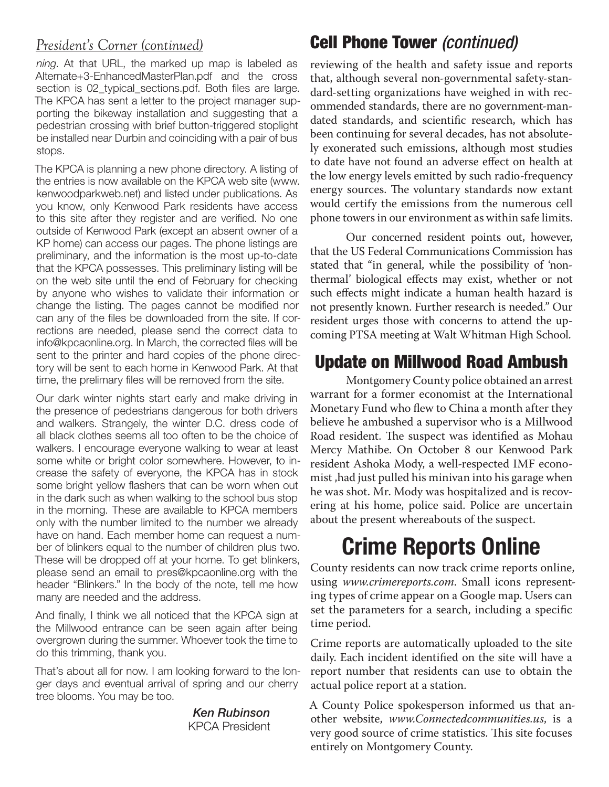#### *President's Corner (continued)*

*ning*. At that URL, the marked up map is labeled as Alternate+3-EnhancedMasterPlan.pdf and the cross section is 02 typical sections.pdf. Both files are large. The KPCA has sent a letter to the project manager supporting the bikeway installation and suggesting that a pedestrian crossing with brief button-triggered stoplight be installed near Durbin and coinciding with a pair of bus stops.

The KPCA is planning a new phone directory. A listing of the entries is now available on the KPCA web site (www. kenwoodparkweb.net) and listed under publications. As you know, only Kenwood Park residents have access to this site after they register and are verified. No one outside of Kenwood Park (except an absent owner of a KP home) can access our pages. The phone listings are preliminary, and the information is the most up-to-date that the KPCA possesses. This preliminary listing will be on the web site until the end of February for checking by anyone who wishes to validate their information or change the listing. The pages cannot be modified nor can any of the files be downloaded from the site. If corrections are needed, please send the correct data to info@kpcaonline.org. In March, the corrected files will be sent to the printer and hard copies of the phone directory will be sent to each home in Kenwood Park. At that time, the prelimary files will be removed from the site.

Our dark winter nights start early and make driving in the presence of pedestrians dangerous for both drivers and walkers. Strangely, the winter D.C. dress code of all black clothes seems all too often to be the choice of walkers. I encourage everyone walking to wear at least some white or bright color somewhere. However, to increase the safety of everyone, the KPCA has in stock some bright yellow flashers that can be worn when out in the dark such as when walking to the school bus stop in the morning. These are available to KPCA members only with the number limited to the number we already have on hand. Each member home can request a number of blinkers equal to the number of children plus two. These will be dropped off at your home. To get blinkers, please send an email to pres@kpcaonline.org with the header "Blinkers." In the body of the note, tell me how many are needed and the address.

And finally, I think we all noticed that the KPCA sign at the Millwood entrance can be seen again after being overgrown during the summer. Whoever took the time to do this trimming, thank you.

That's about all for now. I am looking forward to the longer days and eventual arrival of spring and our cherry tree blooms. You may be too.

> *Ken Rubinson* KPCA President

## Cell Phone Tower *(continued)*

reviewing of the health and safety issue and reports that, although several non-governmental safety-standard-setting organizations have weighed in with recommended standards, there are no government-mandated standards, and scientific research, which has been continuing for several decades, has not absolutely exonerated such emissions, although most studies to date have not found an adverse effect on health at the low energy levels emitted by such radio-frequency energy sources. The voluntary standards now extant would certify the emissions from the numerous cell phone towers in our environment as within safe limits.

Our concerned resident points out, however, that the US Federal Communications Commission has stated that "in general, while the possibility of 'nonthermal' biological effects may exist, whether or not such effects might indicate a human health hazard is not presently known. Further research is needed." Our resident urges those with concerns to attend the upcoming PTSA meeting at Walt Whitman High School.

#### Update on Millwood Road Ambush

Montgomery County police obtained an arrest warrant for a former economist at the International Monetary Fund who flew to China a month after they believe he ambushed a supervisor who is a Millwood Road resident. The suspect was identified as Mohau Mercy Mathibe. On October 8 our Kenwood Park resident Ashoka Mody, a well-respected IMF economist ,had just pulled his minivan into his garage when he was shot. Mr. Mody was hospitalized and is recovering at his home, police said. Police are uncertain about the present whereabouts of the suspect.

## Crime Reports Online

County residents can now track crime reports online, using *www.crimereports.com*. Small icons representing types of crime appear on a Google map. Users can set the parameters for a search, including a specific time period.

Crime reports are automatically uploaded to the site daily. Each incident identified on the site will have a report number that residents can use to obtain the actual police report at a station.

A County Police spokesperson informed us that another website, *www.Connectedcommunities.us*, is a very good source of crime statistics. This site focuses entirely on Montgomery County.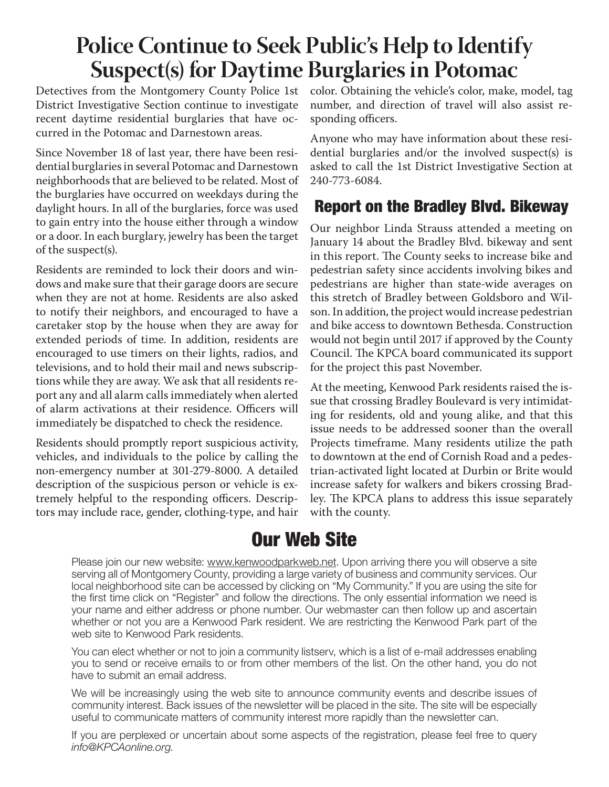## **Police Continue to Seek Public's Help to Identify Suspect(s) for Daytime Burglaries in Potomac**

Detectives from the Montgomery County Police 1st District Investigative Section continue to investigate recent daytime residential burglaries that have occurred in the Potomac and Darnestown areas.

Since November 18 of last year, there have been residential burglaries in several Potomac and Darnestown neighborhoods that are believed to be related. Most of the burglaries have occurred on weekdays during the daylight hours. In all of the burglaries, force was used to gain entry into the house either through a window or a door. In each burglary, jewelry has been the target of the suspect(s).

Residents are reminded to lock their doors and windows and make sure that their garage doors are secure when they are not at home. Residents are also asked to notify their neighbors, and encouraged to have a caretaker stop by the house when they are away for extended periods of time. In addition, residents are encouraged to use timers on their lights, radios, and televisions, and to hold their mail and news subscriptions while they are away. We ask that all residents report any and all alarm calls immediately when alerted of alarm activations at their residence. Officers will immediately be dispatched to check the residence.

Residents should promptly report suspicious activity, vehicles, and individuals to the police by calling the non-emergency number at 301-279-8000. A detailed description of the suspicious person or vehicle is extremely helpful to the responding officers. Descriptors may include race, gender, clothing-type, and hair color. Obtaining the vehicle's color, make, model, tag number, and direction of travel will also assist responding officers.

Anyone who may have information about these residential burglaries and/or the involved suspect(s) is asked to call the 1st District Investigative Section at 240-773-6084.

### Report on the Bradley Blvd. Bikeway

Our neighbor Linda Strauss attended a meeting on January 14 about the Bradley Blvd. bikeway and sent in this report. The County seeks to increase bike and pedestrian safety since accidents involving bikes and pedestrians are higher than state-wide averages on this stretch of Bradley between Goldsboro and Wilson. In addition, the project would increase pedestrian and bike access to downtown Bethesda. Construction would not begin until 2017 if approved by the County Council. The KPCA board communicated its support for the project this past November.

At the meeting, Kenwood Park residents raised the issue that crossing Bradley Boulevard is very intimidating for residents, old and young alike, and that this issue needs to be addressed sooner than the overall Projects timeframe. Many residents utilize the path to downtown at the end of Cornish Road and a pedestrian-activated light located at Durbin or Brite would increase safety for walkers and bikers crossing Bradley. The KPCA plans to address this issue separately with the county.

## Our Web Site

Please join our new website: www.kenwoodparkweb.net. Upon arriving there you will observe a site serving all of Montgomery County, providing a large variety of business and community services. Our local neighborhood site can be accessed by clicking on "My Community." If you are using the site for the first time click on "Register" and follow the directions. The only essential information we need is your name and either address or phone number. Our webmaster can then follow up and ascertain whether or not you are a Kenwood Park resident. We are restricting the Kenwood Park part of the web site to Kenwood Park residents.

You can elect whether or not to join a community listserv, which is a list of e-mail addresses enabling you to send or receive emails to or from other members of the list. On the other hand, you do not have to submit an email address.

We will be increasingly using the web site to announce community events and describe issues of community interest. Back issues of the newsletter will be placed in the site. The site will be especially useful to communicate matters of community interest more rapidly than the newsletter can.

If you are perplexed or uncertain about some aspects of the registration, please feel free to query *info@KPCAonline.org.*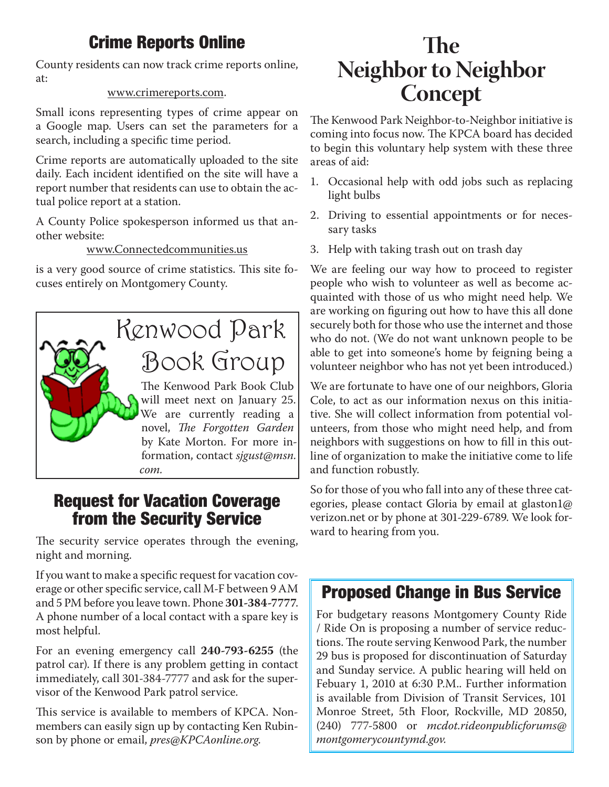## Crime Reports Online

County residents can now track crime reports online, at:

#### www.crimereports.com.

Small icons representing types of crime appear on a Google map. Users can set the parameters for a search, including a specific time period.

Crime reports are automatically uploaded to the site daily. Each incident identified on the site will have a report number that residents can use to obtain the actual police report at a station.

A County Police spokesperson informed us that another website:

www.Connectedcommunities.us

is a very good source of crime statistics. This site focuses entirely on Montgomery County.



#### Request for Vacation Coverage from the Security Service

The security service operates through the evening, night and morning.

If you want to make a specific request for vacation coverage or other specific service, call M-F between 9 AM and 5 PM before you leave town. Phone **301-384-7777**. A phone number of a local contact with a spare key is most helpful.

For an evening emergency call **240-793-6255** (the patrol car). If there is any problem getting in contact immediately, call 301-384-7777 and ask for the supervisor of the Kenwood Park patrol service.

This service is available to members of KPCA. Nonmembers can easily sign up by contacting Ken Rubinson by phone or email, *pres@KPCAonline.org*.

## **The Neighbor to Neighbor Concept**

The Kenwood Park Neighbor-to-Neighbor initiative is coming into focus now. The KPCA board has decided to begin this voluntary help system with these three areas of aid:

- 1. Occasional help with odd jobs such as replacing light bulbs
- 2. Driving to essential appointments or for necessary tasks
- 3. Help with taking trash out on trash day

We are feeling our way how to proceed to register people who wish to volunteer as well as become acquainted with those of us who might need help. We are working on figuring out how to have this all done securely both for those who use the internet and those who do not. (We do not want unknown people to be able to get into someone's home by feigning being a volunteer neighbor who has not yet been introduced.)

We are fortunate to have one of our neighbors, Gloria Cole, to act as our information nexus on this initiative. She will collect information from potential volunteers, from those who might need help, and from neighbors with suggestions on how to fill in this outline of organization to make the initiative come to life and function robustly.

So for those of you who fall into any of these three categories, please contact Gloria by email at glaston $1\omega$ verizon.net or by phone at 301-229-6789. We look forward to hearing from you.

## Proposed Change in Bus Service

For budgetary reasons Montgomery County Ride / Ride On is proposing a number of service reductions. The route serving Kenwood Park, the number 29 bus is proposed for discontinuation of Saturday and Sunday service. A public hearing will held on Febuary 1, 2010 at 6:30 P.M.. Further information is available from Division of Transit Services, 101 Monroe Street, 5th Floor, Rockville, MD 20850, (240) 777-5800 or *mcdot.rideonpublicforums@ montgomerycountymd.gov.*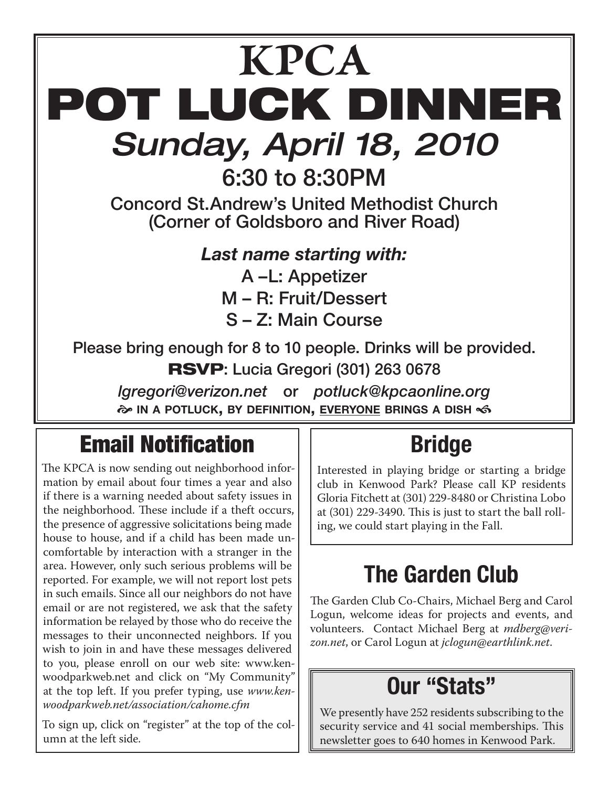# **KPCA** POT LUCK DINNER *Sunday, April 18, 2010*

## 6:30 to 8:30PM

Concord St.Andrew's United Methodist Church (Corner of Goldsboro and River Road)

> *Last name starting with:* A –L: Appetizer M – R: Fruit/Dessert S – Z: Main Course

Please bring enough for 8 to 10 people. Drinks will be provided. RSVP: Lucia Gregori (301) 263 0678

*lgregori@verizon.net* or *potluck@kpcaonline.org*  $\hat{\infty}$  in a potluck, by definition, everyone brings a dish  $\hat{\infty}$ 

# Email Notification

The KPCA is now sending out neighborhood information by email about four times a year and also if there is a warning needed about safety issues in the neighborhood. These include if a theft occurs, the presence of aggressive solicitations being made house to house, and if a child has been made uncomfortable by interaction with a stranger in the area. However, only such serious problems will be reported. For example, we will not report lost pets in such emails. Since all our neighbors do not have email or are not registered, we ask that the safety information be relayed by those who do receive the messages to their unconnected neighbors. If you wish to join in and have these messages delivered to you, please enroll on our web site: www.kenwoodparkweb.net and click on "My Community" at the top left. If you prefer typing, use *www.kenwoodparkweb.net/association/cahome.cfm*

To sign up, click on "register" at the top of the column at the left side.

# Bridge

Interested in playing bridge or starting a bridge club in Kenwood Park? Please call KP residents Gloria Fitchett at (301) 229-8480 or Christina Lobo at (301) 229-3490. This is just to start the ball rolling, we could start playing in the Fall.

# The Garden Club

The Garden Club Co-Chairs, Michael Berg and Carol Logun, welcome ideas for projects and events, and volunteers. Contact Michael Berg at *mdberg@verizon.net*, or Carol Logun at *jclogun@earthlink.net*.

# Our "Stats"

We presently have 252 residents subscribing to the security service and 41 social memberships. This newsletter goes to 640 homes in Kenwood Park.